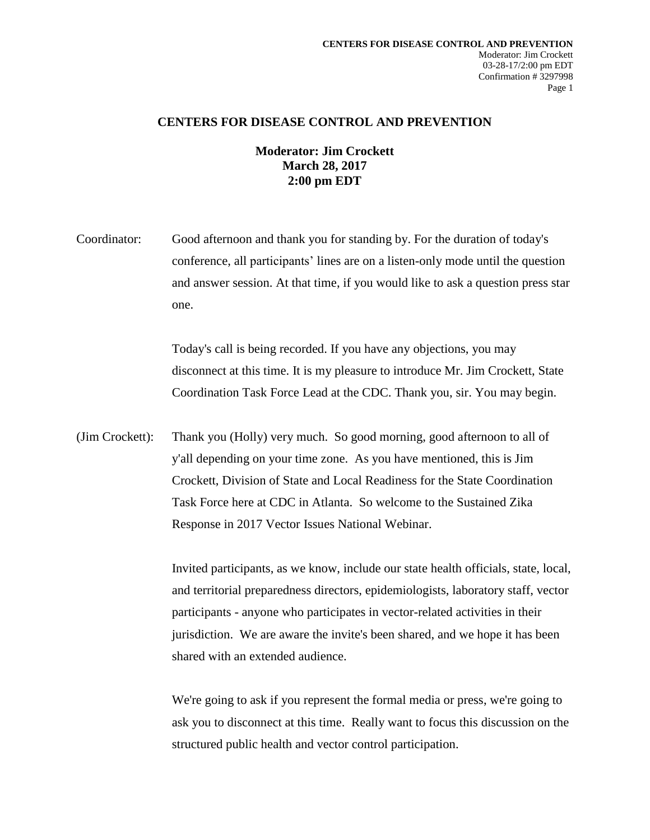## **CENTERS FOR DISEASE CONTROL AND PREVENTION**

## **Moderator: Jim Crockett March 28, 2017 2:00 pm EDT**

Coordinator: Good afternoon and thank you for standing by. For the duration of today's conference, all participants' lines are on a listen-only mode until the question and answer session. At that time, if you would like to ask a question press star one.

> Today's call is being recorded. If you have any objections, you may disconnect at this time. It is my pleasure to introduce Mr. Jim Crockett, State Coordination Task Force Lead at the CDC. Thank you, sir. You may begin.

(Jim Crockett): Thank you (Holly) very much. So good morning, good afternoon to all of y'all depending on your time zone. As you have mentioned, this is Jim Crockett, Division of State and Local Readiness for the State Coordination Task Force here at CDC in Atlanta. So welcome to the Sustained Zika Response in 2017 Vector Issues National Webinar.

> Invited participants, as we know, include our state health officials, state, local, and territorial preparedness directors, epidemiologists, laboratory staff, vector participants - anyone who participates in vector-related activities in their jurisdiction. We are aware the invite's been shared, and we hope it has been shared with an extended audience.

> We're going to ask if you represent the formal media or press, we're going to ask you to disconnect at this time. Really want to focus this discussion on the structured public health and vector control participation.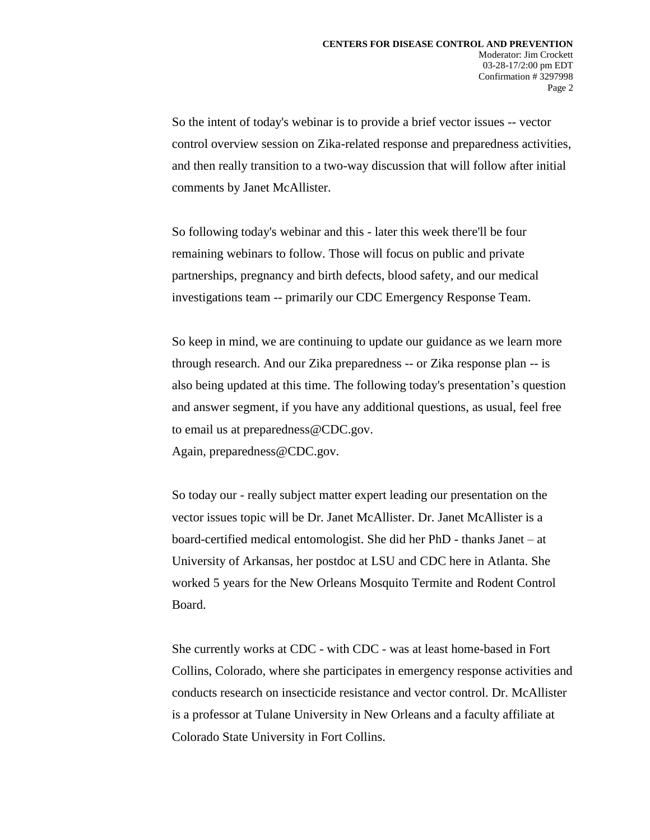So the intent of today's webinar is to provide a brief vector issues -- vector control overview session on Zika-related response and preparedness activities, and then really transition to a two-way discussion that will follow after initial comments by Janet McAllister.

So following today's webinar and this - later this week there'll be four remaining webinars to follow. Those will focus on public and private partnerships, pregnancy and birth defects, blood safety, and our medical investigations team -- primarily our CDC Emergency Response Team.

So keep in mind, we are continuing to update our guidance as we learn more through research. And our Zika preparedness -- or Zika response plan -- is also being updated at this time. The following today's presentation's question and answer segment, if you have any additional questions, as usual, feel free to email us at preparedness@CDC.gov.

Again, preparedness@CDC.gov.

So today our - really subject matter expert leading our presentation on the vector issues topic will be Dr. Janet McAllister. Dr. Janet McAllister is a board-certified medical entomologist. She did her PhD - thanks Janet – at University of Arkansas, her postdoc at LSU and CDC here in Atlanta. She worked 5 years for the New Orleans Mosquito Termite and Rodent Control Board.

She currently works at CDC - with CDC - was at least home-based in Fort Collins, Colorado, where she participates in emergency response activities and conducts research on insecticide resistance and vector control. Dr. McAllister is a professor at Tulane University in New Orleans and a faculty affiliate at Colorado State University in Fort Collins.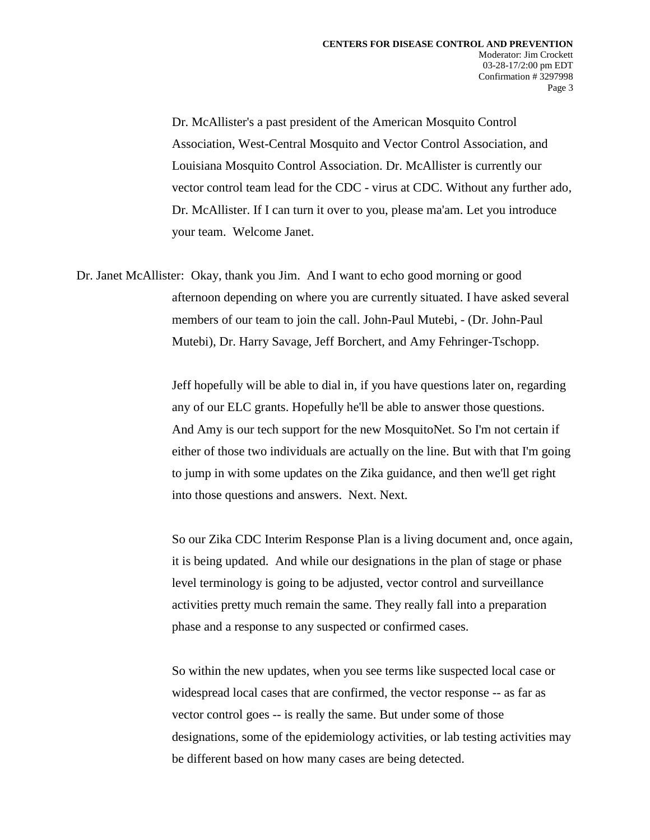Dr. McAllister's a past president of the American Mosquito Control Association, West-Central Mosquito and Vector Control Association, and Louisiana Mosquito Control Association. Dr. McAllister is currently our vector control team lead for the CDC - virus at CDC. Without any further ado, Dr. McAllister. If I can turn it over to you, please ma'am. Let you introduce your team. Welcome Janet.

Dr. Janet McAllister: Okay, thank you Jim. And I want to echo good morning or good afternoon depending on where you are currently situated. I have asked several members of our team to join the call. John-Paul Mutebi, - (Dr. John-Paul Mutebi), Dr. Harry Savage, Jeff Borchert, and Amy Fehringer-Tschopp.

> Jeff hopefully will be able to dial in, if you have questions later on, regarding any of our ELC grants. Hopefully he'll be able to answer those questions. And Amy is our tech support for the new MosquitoNet. So I'm not certain if either of those two individuals are actually on the line. But with that I'm going to jump in with some updates on the Zika guidance, and then we'll get right into those questions and answers. Next. Next.

> So our Zika CDC Interim Response Plan is a living document and, once again, it is being updated. And while our designations in the plan of stage or phase level terminology is going to be adjusted, vector control and surveillance activities pretty much remain the same. They really fall into a preparation phase and a response to any suspected or confirmed cases.

> So within the new updates, when you see terms like suspected local case or widespread local cases that are confirmed, the vector response -- as far as vector control goes -- is really the same. But under some of those designations, some of the epidemiology activities, or lab testing activities may be different based on how many cases are being detected.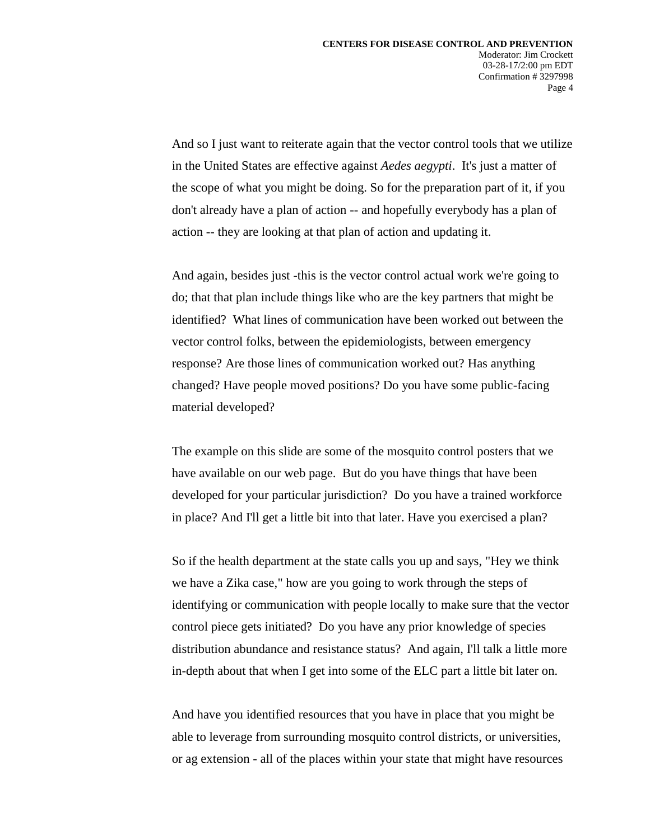And so I just want to reiterate again that the vector control tools that we utilize in the United States are effective against *Aedes aegypti*. It's just a matter of the scope of what you might be doing. So for the preparation part of it, if you don't already have a plan of action -- and hopefully everybody has a plan of action -- they are looking at that plan of action and updating it.

And again, besides just -this is the vector control actual work we're going to do; that that plan include things like who are the key partners that might be identified? What lines of communication have been worked out between the vector control folks, between the epidemiologists, between emergency response? Are those lines of communication worked out? Has anything changed? Have people moved positions? Do you have some public-facing material developed?

The example on this slide are some of the mosquito control posters that we have available on our web page. But do you have things that have been developed for your particular jurisdiction? Do you have a trained workforce in place? And I'll get a little bit into that later. Have you exercised a plan?

So if the health department at the state calls you up and says, "Hey we think we have a Zika case," how are you going to work through the steps of identifying or communication with people locally to make sure that the vector control piece gets initiated? Do you have any prior knowledge of species distribution abundance and resistance status? And again, I'll talk a little more in-depth about that when I get into some of the ELC part a little bit later on.

And have you identified resources that you have in place that you might be able to leverage from surrounding mosquito control districts, or universities, or ag extension - all of the places within your state that might have resources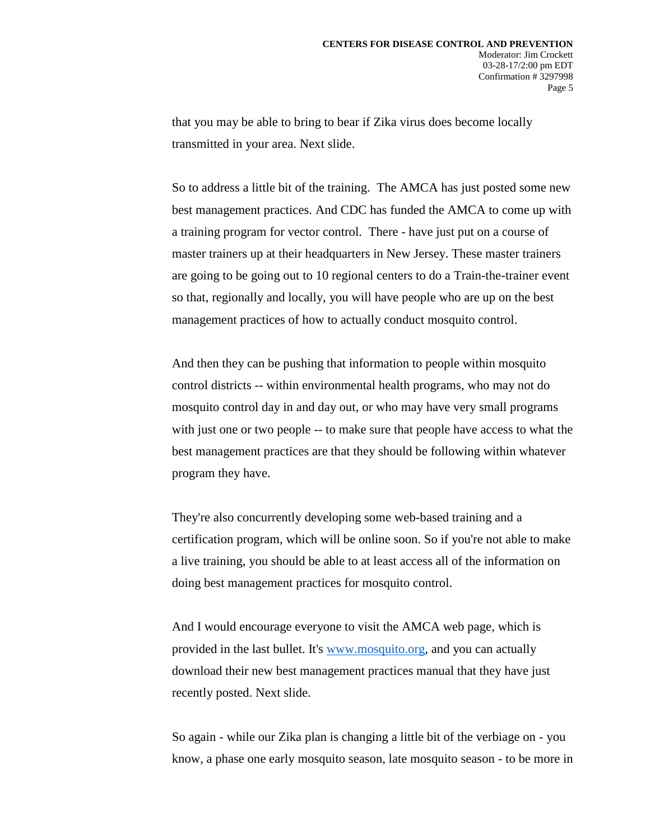that you may be able to bring to bear if Zika virus does become locally transmitted in your area. Next slide.

So to address a little bit of the training. The AMCA has just posted some new best management practices. And CDC has funded the AMCA to come up with a training program for vector control. There - have just put on a course of master trainers up at their headquarters in New Jersey. These master trainers are going to be going out to 10 regional centers to do a Train-the-trainer event so that, regionally and locally, you will have people who are up on the best management practices of how to actually conduct mosquito control.

And then they can be pushing that information to people within mosquito control districts -- within environmental health programs, who may not do mosquito control day in and day out, or who may have very small programs with just one or two people -- to make sure that people have access to what the best management practices are that they should be following within whatever program they have.

They're also concurrently developing some web-based training and a certification program, which will be online soon. So if you're not able to make a live training, you should be able to at least access all of the information on doing best management practices for mosquito control.

And I would encourage everyone to visit the AMCA web page, which is provided in the last bullet. It's [www.mosquito.org,](http://www.mosquito.org/) and you can actually download their new best management practices manual that they have just recently posted. Next slide.

So again - while our Zika plan is changing a little bit of the verbiage on - you know, a phase one early mosquito season, late mosquito season - to be more in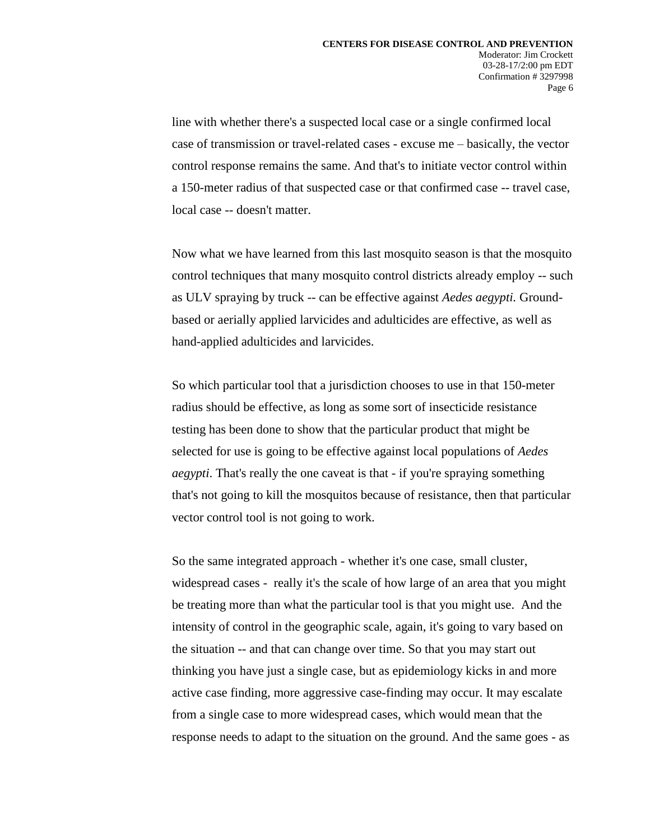line with whether there's a suspected local case or a single confirmed local case of transmission or travel-related cases - excuse me – basically, the vector control response remains the same. And that's to initiate vector control within a 150-meter radius of that suspected case or that confirmed case -- travel case, local case -- doesn't matter.

Now what we have learned from this last mosquito season is that the mosquito control techniques that many mosquito control districts already employ -- such as ULV spraying by truck -- can be effective against *Aedes aegypti.* Groundbased or aerially applied larvicides and adulticides are effective, as well as hand-applied adulticides and larvicides.

So which particular tool that a jurisdiction chooses to use in that 150-meter radius should be effective, as long as some sort of insecticide resistance testing has been done to show that the particular product that might be selected for use is going to be effective against local populations of *Aedes aegypti*. That's really the one caveat is that - if you're spraying something that's not going to kill the mosquitos because of resistance, then that particular vector control tool is not going to work.

So the same integrated approach - whether it's one case, small cluster, widespread cases - really it's the scale of how large of an area that you might be treating more than what the particular tool is that you might use. And the intensity of control in the geographic scale, again, it's going to vary based on the situation -- and that can change over time. So that you may start out thinking you have just a single case, but as epidemiology kicks in and more active case finding, more aggressive case-finding may occur. It may escalate from a single case to more widespread cases, which would mean that the response needs to adapt to the situation on the ground. And the same goes - as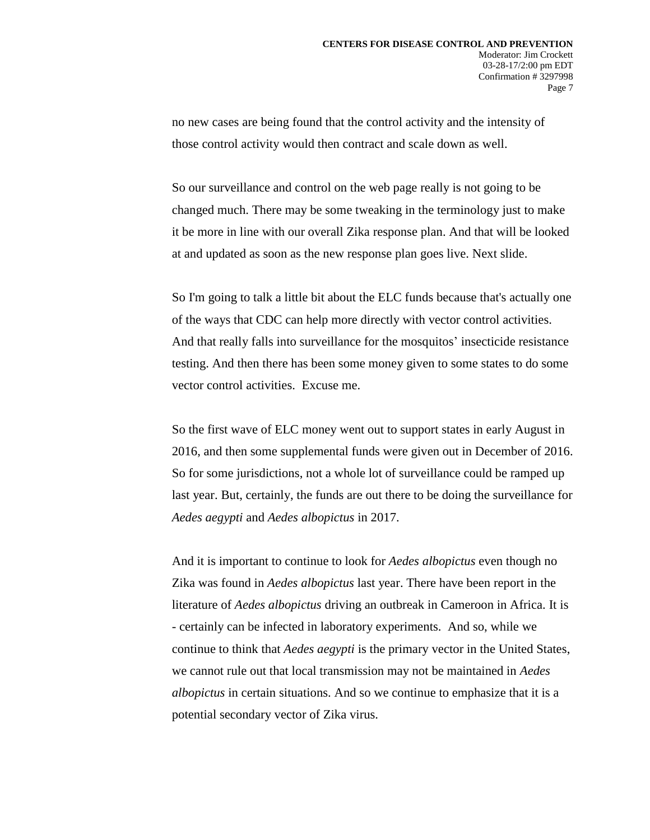no new cases are being found that the control activity and the intensity of those control activity would then contract and scale down as well.

So our surveillance and control on the web page really is not going to be changed much. There may be some tweaking in the terminology just to make it be more in line with our overall Zika response plan. And that will be looked at and updated as soon as the new response plan goes live. Next slide.

So I'm going to talk a little bit about the ELC funds because that's actually one of the ways that CDC can help more directly with vector control activities. And that really falls into surveillance for the mosquitos' insecticide resistance testing. And then there has been some money given to some states to do some vector control activities. Excuse me.

So the first wave of ELC money went out to support states in early August in 2016, and then some supplemental funds were given out in December of 2016. So for some jurisdictions, not a whole lot of surveillance could be ramped up last year. But, certainly, the funds are out there to be doing the surveillance for *Aedes aegypti* and *Aedes albopictus* in 2017.

And it is important to continue to look for *Aedes albopictus* even though no Zika was found in *Aedes albopictus* last year. There have been report in the literature of *Aedes albopictus* driving an outbreak in Cameroon in Africa. It is - certainly can be infected in laboratory experiments. And so, while we continue to think that *Aedes aegypti* is the primary vector in the United States, we cannot rule out that local transmission may not be maintained in *Aedes albopictus* in certain situations. And so we continue to emphasize that it is a potential secondary vector of Zika virus.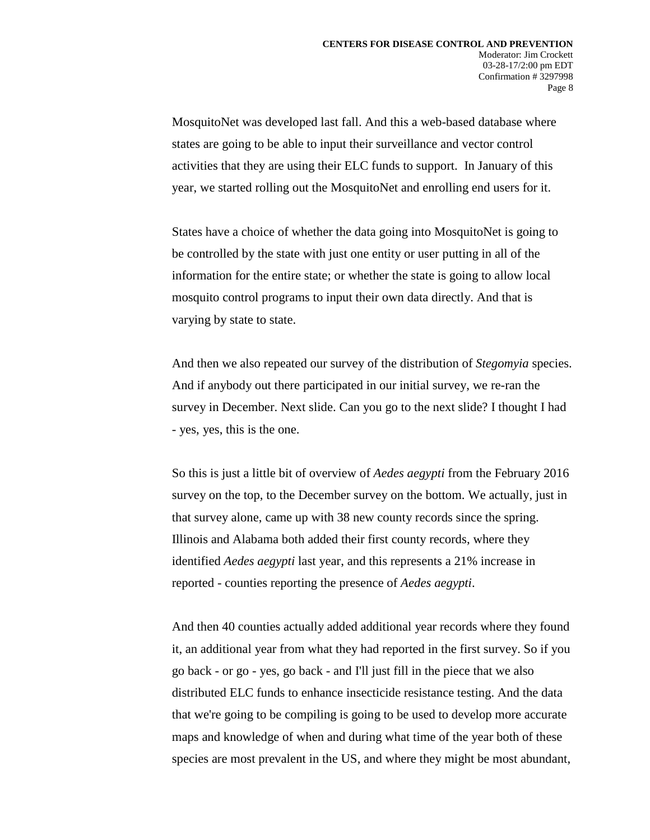MosquitoNet was developed last fall. And this a web-based database where states are going to be able to input their surveillance and vector control activities that they are using their ELC funds to support. In January of this year, we started rolling out the MosquitoNet and enrolling end users for it.

States have a choice of whether the data going into MosquitoNet is going to be controlled by the state with just one entity or user putting in all of the information for the entire state; or whether the state is going to allow local mosquito control programs to input their own data directly. And that is varying by state to state.

And then we also repeated our survey of the distribution of *Stegomyia* species. And if anybody out there participated in our initial survey, we re-ran the survey in December. Next slide. Can you go to the next slide? I thought I had - yes, yes, this is the one.

So this is just a little bit of overview of *Aedes aegypti* from the February 2016 survey on the top, to the December survey on the bottom. We actually, just in that survey alone, came up with 38 new county records since the spring. Illinois and Alabama both added their first county records, where they identified *Aedes aegypti* last year, and this represents a 21% increase in reported - counties reporting the presence of *Aedes aegypti*.

And then 40 counties actually added additional year records where they found it, an additional year from what they had reported in the first survey. So if you go back - or go - yes, go back - and I'll just fill in the piece that we also distributed ELC funds to enhance insecticide resistance testing. And the data that we're going to be compiling is going to be used to develop more accurate maps and knowledge of when and during what time of the year both of these species are most prevalent in the US, and where they might be most abundant,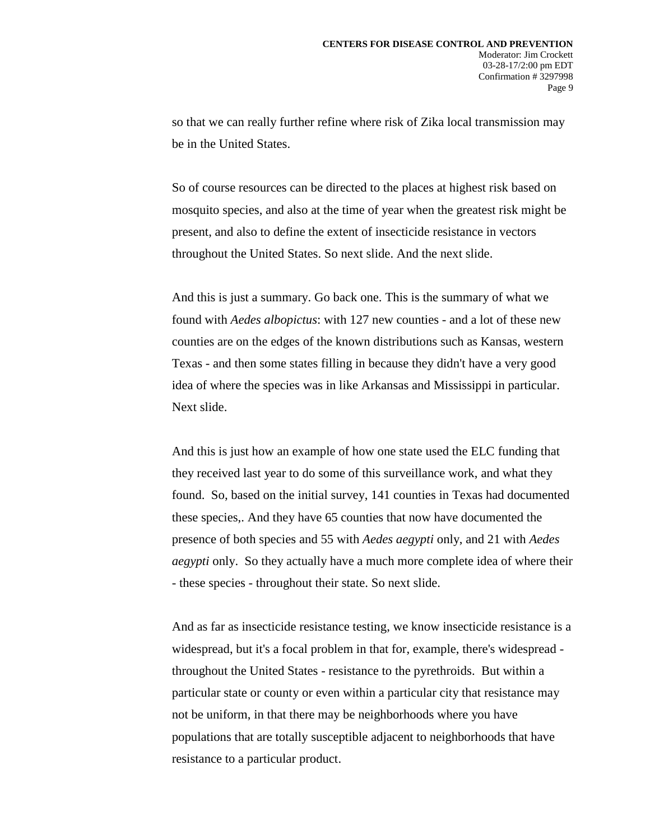so that we can really further refine where risk of Zika local transmission may be in the United States.

So of course resources can be directed to the places at highest risk based on mosquito species, and also at the time of year when the greatest risk might be present, and also to define the extent of insecticide resistance in vectors throughout the United States. So next slide. And the next slide.

And this is just a summary. Go back one. This is the summary of what we found with *Aedes albopictus*: with 127 new counties - and a lot of these new counties are on the edges of the known distributions such as Kansas, western Texas - and then some states filling in because they didn't have a very good idea of where the species was in like Arkansas and Mississippi in particular. Next slide.

And this is just how an example of how one state used the ELC funding that they received last year to do some of this surveillance work, and what they found. So, based on the initial survey, 141 counties in Texas had documented these species,. And they have 65 counties that now have documented the presence of both species and 55 with *Aedes aegypti* only, and 21 with *Aedes aegypti* only. So they actually have a much more complete idea of where their - these species - throughout their state. So next slide.

And as far as insecticide resistance testing, we know insecticide resistance is a widespread, but it's a focal problem in that for, example, there's widespread throughout the United States - resistance to the pyrethroids. But within a particular state or county or even within a particular city that resistance may not be uniform, in that there may be neighborhoods where you have populations that are totally susceptible adjacent to neighborhoods that have resistance to a particular product.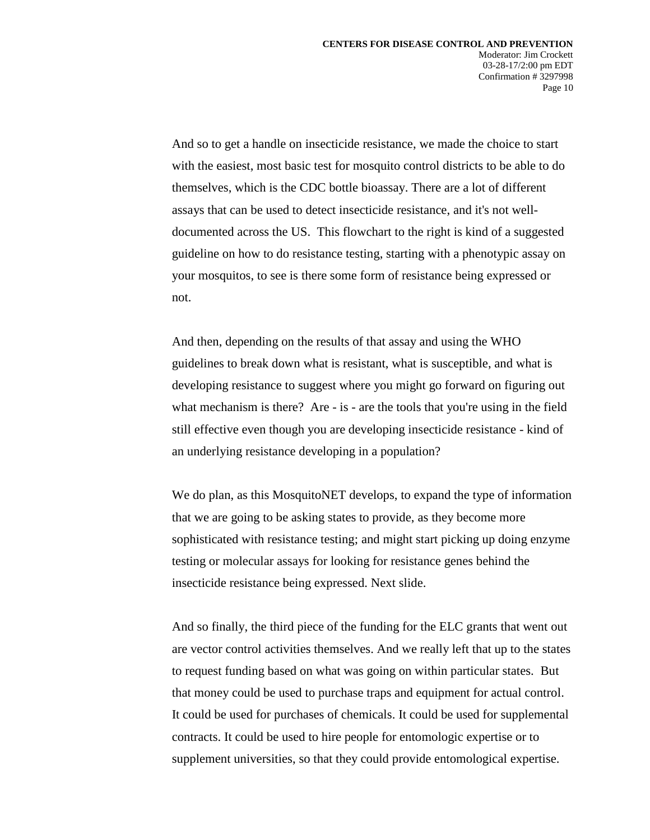Confirmation # 3297998

Page 10

And so to get a handle on insecticide resistance, we made the choice to start with the easiest, most basic test for mosquito control districts to be able to do themselves, which is the CDC bottle bioassay. There are a lot of different assays that can be used to detect insecticide resistance, and it's not welldocumented across the US. This flowchart to the right is kind of a suggested guideline on how to do resistance testing, starting with a phenotypic assay on your mosquitos, to see is there some form of resistance being expressed or not.

And then, depending on the results of that assay and using the WHO guidelines to break down what is resistant, what is susceptible, and what is developing resistance to suggest where you might go forward on figuring out what mechanism is there? Are - is - are the tools that you're using in the field still effective even though you are developing insecticide resistance - kind of an underlying resistance developing in a population?

We do plan, as this MosquitoNET develops, to expand the type of information that we are going to be asking states to provide, as they become more sophisticated with resistance testing; and might start picking up doing enzyme testing or molecular assays for looking for resistance genes behind the insecticide resistance being expressed. Next slide.

And so finally, the third piece of the funding for the ELC grants that went out are vector control activities themselves. And we really left that up to the states to request funding based on what was going on within particular states. But that money could be used to purchase traps and equipment for actual control. It could be used for purchases of chemicals. It could be used for supplemental contracts. It could be used to hire people for entomologic expertise or to supplement universities, so that they could provide entomological expertise.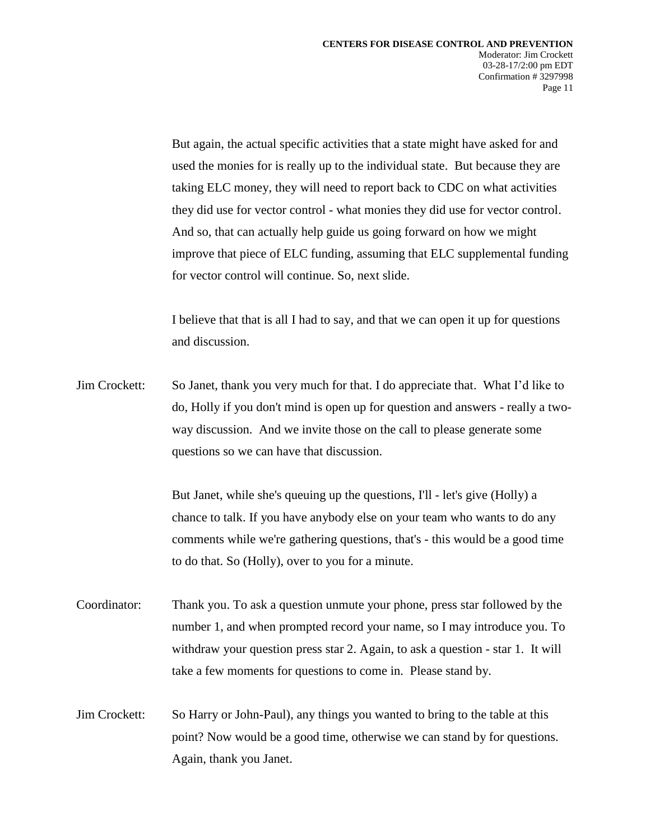But again, the actual specific activities that a state might have asked for and used the monies for is really up to the individual state. But because they are taking ELC money, they will need to report back to CDC on what activities they did use for vector control - what monies they did use for vector control. And so, that can actually help guide us going forward on how we might improve that piece of ELC funding, assuming that ELC supplemental funding for vector control will continue. So, next slide.

I believe that that is all I had to say, and that we can open it up for questions and discussion.

Jim Crockett: So Janet, thank you very much for that. I do appreciate that. What I'd like to do, Holly if you don't mind is open up for question and answers - really a twoway discussion. And we invite those on the call to please generate some questions so we can have that discussion.

> But Janet, while she's queuing up the questions, I'll - let's give (Holly) a chance to talk. If you have anybody else on your team who wants to do any comments while we're gathering questions, that's - this would be a good time to do that. So (Holly), over to you for a minute.

- Coordinator: Thank you. To ask a question unmute your phone, press star followed by the number 1, and when prompted record your name, so I may introduce you. To withdraw your question press star 2. Again, to ask a question - star 1. It will take a few moments for questions to come in. Please stand by.
- Jim Crockett: So Harry or John-Paul), any things you wanted to bring to the table at this point? Now would be a good time, otherwise we can stand by for questions. Again, thank you Janet.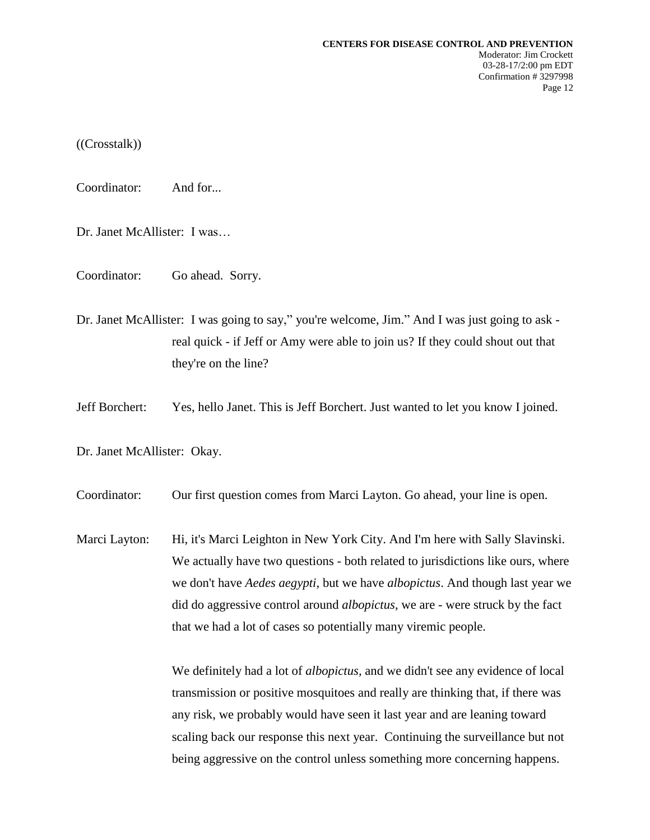((Crosstalk))

Coordinator: And for...

Dr. Janet McAllister: I was…

Coordinator: Go ahead. Sorry.

Dr. Janet McAllister: I was going to say," you're welcome, Jim." And I was just going to ask real quick - if Jeff or Amy were able to join us? If they could shout out that they're on the line?

Jeff Borchert: Yes, hello Janet. This is Jeff Borchert. Just wanted to let you know I joined.

Dr. Janet McAllister: Okay.

Coordinator: Our first question comes from Marci Layton. Go ahead, your line is open.

Marci Layton: Hi, it's Marci Leighton in New York City. And I'm here with Sally Slavinski. We actually have two questions - both related to jurisdictions like ours, where we don't have *Aedes aegypti,* but we have *albopictus*. And though last year we did do aggressive control around *albopictus*, we are - were struck by the fact that we had a lot of cases so potentially many viremic people.

> We definitely had a lot of *albopictus,* and we didn't see any evidence of local transmission or positive mosquitoes and really are thinking that, if there was any risk, we probably would have seen it last year and are leaning toward scaling back our response this next year. Continuing the surveillance but not being aggressive on the control unless something more concerning happens.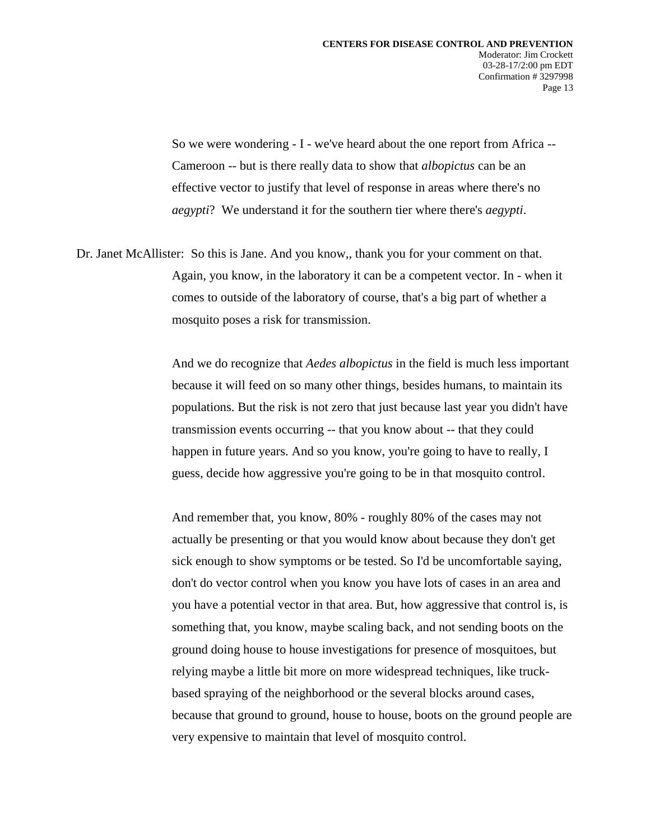So we were wondering - I - we've heard about the one report from Africa -- Cameroon -- but is there really data to show that *albopictus* can be an effective vector to justify that level of response in areas where there's no *aegypti*? We understand it for the southern tier where there's *aegypti*.

Dr. Janet McAllister: So this is Jane. And you know,, thank you for your comment on that. Again, you know, in the laboratory it can be a competent vector. In - when it comes to outside of the laboratory of course, that's a big part of whether a mosquito poses a risk for transmission.

> And we do recognize that *Aedes albopictus* in the field is much less important because it will feed on so many other things, besides humans, to maintain its populations. But the risk is not zero that just because last year you didn't have transmission events occurring -- that you know about -- that they could happen in future years. And so you know, you're going to have to really, I guess, decide how aggressive you're going to be in that mosquito control.

> And remember that, you know, 80% - roughly 80% of the cases may not actually be presenting or that you would know about because they don't get sick enough to show symptoms or be tested. So I'd be uncomfortable saying, don't do vector control when you know you have lots of cases in an area and you have a potential vector in that area. But, how aggressive that control is, is something that, you know, maybe scaling back, and not sending boots on the ground doing house to house investigations for presence of mosquitoes, but relying maybe a little bit more on more widespread techniques, like truckbased spraying of the neighborhood or the several blocks around cases, because that ground to ground, house to house, boots on the ground people are very expensive to maintain that level of mosquito control.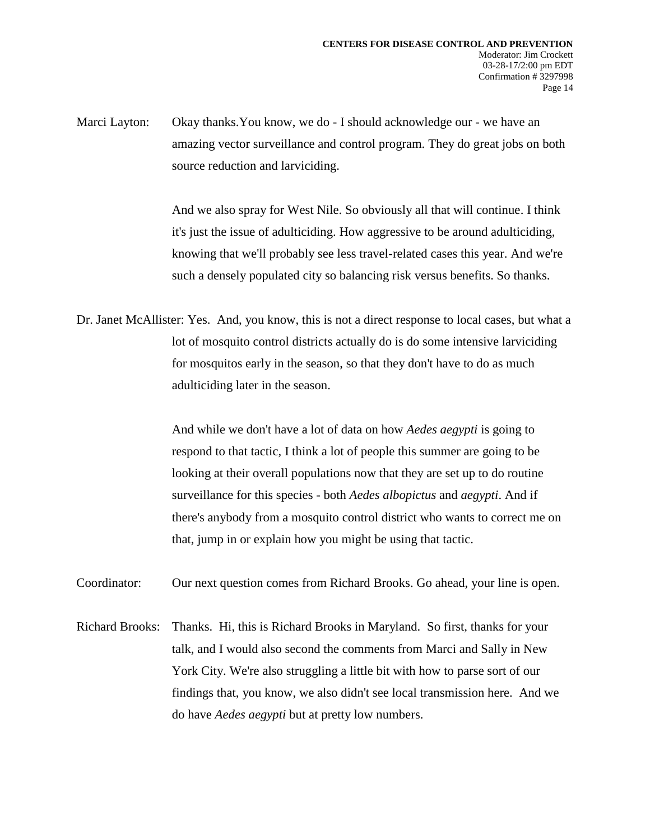Marci Layton: Okay thanks. You know, we do - I should acknowledge our - we have an amazing vector surveillance and control program. They do great jobs on both source reduction and larviciding.

> And we also spray for West Nile. So obviously all that will continue. I think it's just the issue of adulticiding. How aggressive to be around adulticiding, knowing that we'll probably see less travel-related cases this year. And we're such a densely populated city so balancing risk versus benefits. So thanks.

Dr. Janet McAllister: Yes. And, you know, this is not a direct response to local cases, but what a lot of mosquito control districts actually do is do some intensive larviciding for mosquitos early in the season, so that they don't have to do as much adulticiding later in the season.

> And while we don't have a lot of data on how *Aedes aegypti* is going to respond to that tactic, I think a lot of people this summer are going to be looking at their overall populations now that they are set up to do routine surveillance for this species - both *Aedes albopictus* and *aegypti*. And if there's anybody from a mosquito control district who wants to correct me on that, jump in or explain how you might be using that tactic.

Coordinator: Our next question comes from Richard Brooks. Go ahead, your line is open.

Richard Brooks: Thanks. Hi, this is Richard Brooks in Maryland. So first, thanks for your talk, and I would also second the comments from Marci and Sally in New York City. We're also struggling a little bit with how to parse sort of our findings that, you know, we also didn't see local transmission here. And we do have *Aedes aegypti* but at pretty low numbers.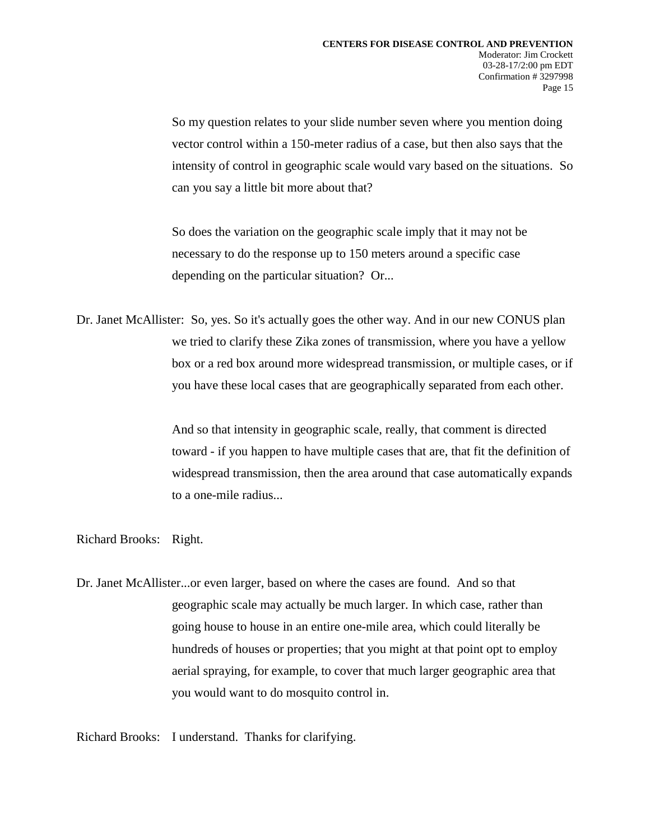So my question relates to your slide number seven where you mention doing vector control within a 150-meter radius of a case, but then also says that the intensity of control in geographic scale would vary based on the situations. So can you say a little bit more about that?

So does the variation on the geographic scale imply that it may not be necessary to do the response up to 150 meters around a specific case depending on the particular situation? Or...

Dr. Janet McAllister: So, yes. So it's actually goes the other way. And in our new CONUS plan we tried to clarify these Zika zones of transmission, where you have a yellow box or a red box around more widespread transmission, or multiple cases, or if you have these local cases that are geographically separated from each other.

> And so that intensity in geographic scale, really, that comment is directed toward - if you happen to have multiple cases that are, that fit the definition of widespread transmission, then the area around that case automatically expands to a one-mile radius...

Richard Brooks: Right.

Dr. Janet McAllister...or even larger, based on where the cases are found. And so that geographic scale may actually be much larger. In which case, rather than going house to house in an entire one-mile area, which could literally be hundreds of houses or properties; that you might at that point opt to employ aerial spraying, for example, to cover that much larger geographic area that you would want to do mosquito control in.

Richard Brooks: I understand. Thanks for clarifying.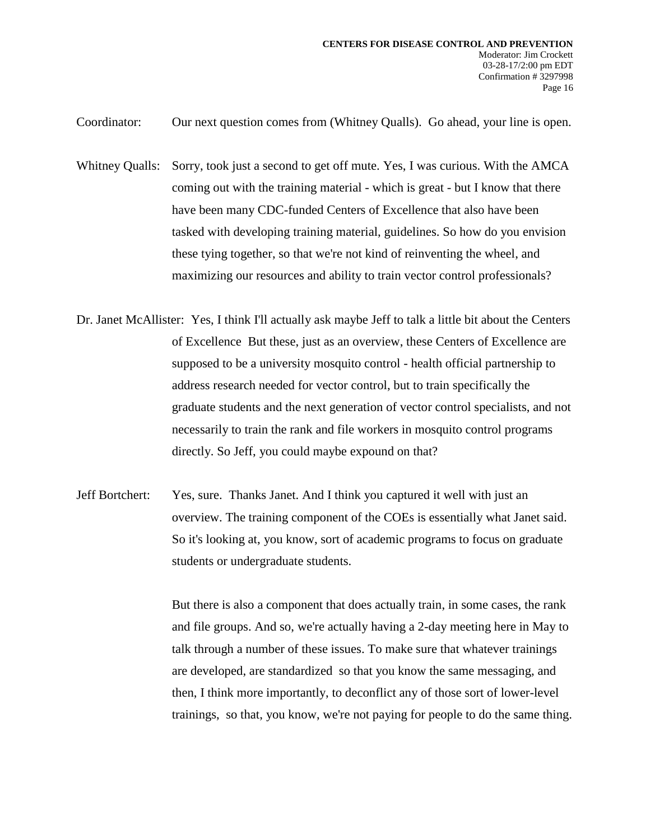Coordinator: Our next question comes from (Whitney Qualls). Go ahead, your line is open.

Whitney Qualls: Sorry, took just a second to get off mute. Yes, I was curious. With the AMCA coming out with the training material - which is great - but I know that there have been many CDC-funded Centers of Excellence that also have been tasked with developing training material, guidelines. So how do you envision these tying together, so that we're not kind of reinventing the wheel, and maximizing our resources and ability to train vector control professionals?

- Dr. Janet McAllister: Yes, I think I'll actually ask maybe Jeff to talk a little bit about the Centers of Excellence But these, just as an overview, these Centers of Excellence are supposed to be a university mosquito control - health official partnership to address research needed for vector control, but to train specifically the graduate students and the next generation of vector control specialists, and not necessarily to train the rank and file workers in mosquito control programs directly. So Jeff, you could maybe expound on that?
- Jeff Bortchert: Yes, sure. Thanks Janet. And I think you captured it well with just an overview. The training component of the COEs is essentially what Janet said. So it's looking at, you know, sort of academic programs to focus on graduate students or undergraduate students.

But there is also a component that does actually train, in some cases, the rank and file groups. And so, we're actually having a 2-day meeting here in May to talk through a number of these issues. To make sure that whatever trainings are developed, are standardized so that you know the same messaging, and then, I think more importantly, to deconflict any of those sort of lower-level trainings, so that, you know, we're not paying for people to do the same thing.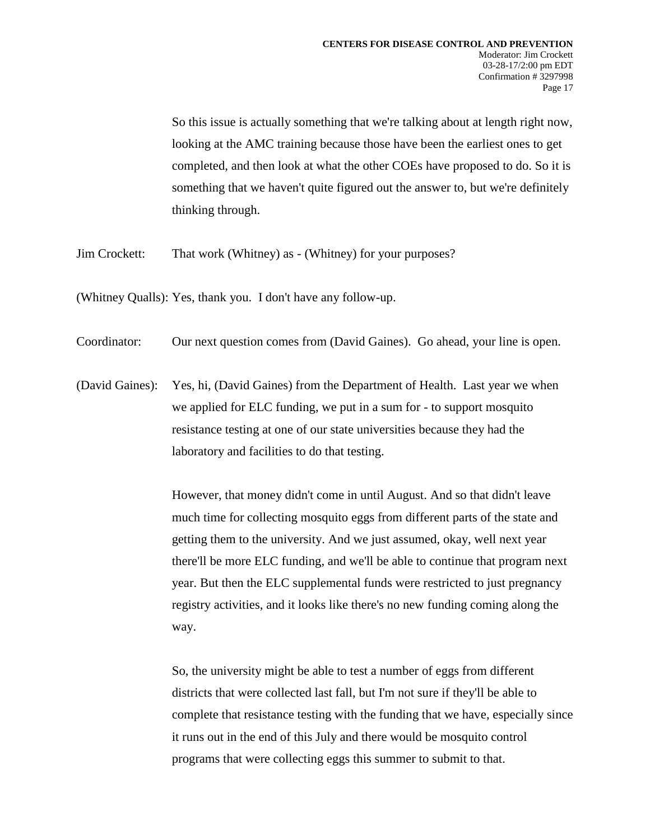So this issue is actually something that we're talking about at length right now, looking at the AMC training because those have been the earliest ones to get completed, and then look at what the other COEs have proposed to do. So it is something that we haven't quite figured out the answer to, but we're definitely thinking through.

Jim Crockett: That work (Whitney) as - (Whitney) for your purposes?

(Whitney Qualls): Yes, thank you. I don't have any follow-up.

Coordinator: Our next question comes from (David Gaines). Go ahead, your line is open.

(David Gaines): Yes, hi, (David Gaines) from the Department of Health. Last year we when we applied for ELC funding, we put in a sum for - to support mosquito resistance testing at one of our state universities because they had the laboratory and facilities to do that testing.

> However, that money didn't come in until August. And so that didn't leave much time for collecting mosquito eggs from different parts of the state and getting them to the university. And we just assumed, okay, well next year there'll be more ELC funding, and we'll be able to continue that program next year. But then the ELC supplemental funds were restricted to just pregnancy registry activities, and it looks like there's no new funding coming along the way.

> So, the university might be able to test a number of eggs from different districts that were collected last fall, but I'm not sure if they'll be able to complete that resistance testing with the funding that we have, especially since it runs out in the end of this July and there would be mosquito control programs that were collecting eggs this summer to submit to that.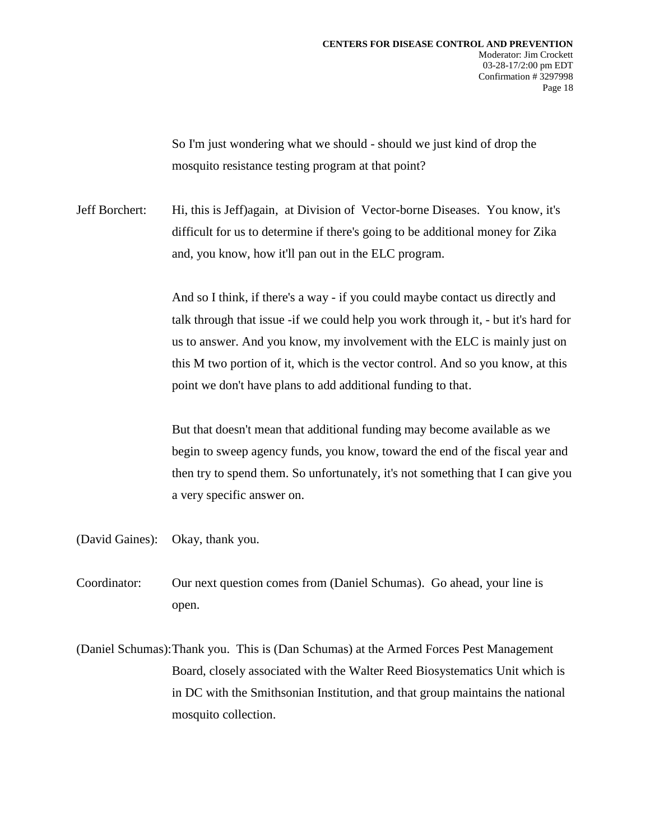So I'm just wondering what we should - should we just kind of drop the mosquito resistance testing program at that point?

Jeff Borchert: Hi, this is Jeff)again, at Division of Vector-borne Diseases. You know, it's difficult for us to determine if there's going to be additional money for Zika and, you know, how it'll pan out in the ELC program.

> And so I think, if there's a way - if you could maybe contact us directly and talk through that issue -if we could help you work through it, - but it's hard for us to answer. And you know, my involvement with the ELC is mainly just on this M two portion of it, which is the vector control. And so you know, at this point we don't have plans to add additional funding to that.

> But that doesn't mean that additional funding may become available as we begin to sweep agency funds, you know, toward the end of the fiscal year and then try to spend them. So unfortunately, it's not something that I can give you a very specific answer on.

(David Gaines): Okay, thank you.

Coordinator: Our next question comes from (Daniel Schumas). Go ahead, your line is open.

(Daniel Schumas):Thank you. This is (Dan Schumas) at the Armed Forces Pest Management Board, closely associated with the Walter Reed Biosystematics Unit which is in DC with the Smithsonian Institution, and that group maintains the national mosquito collection.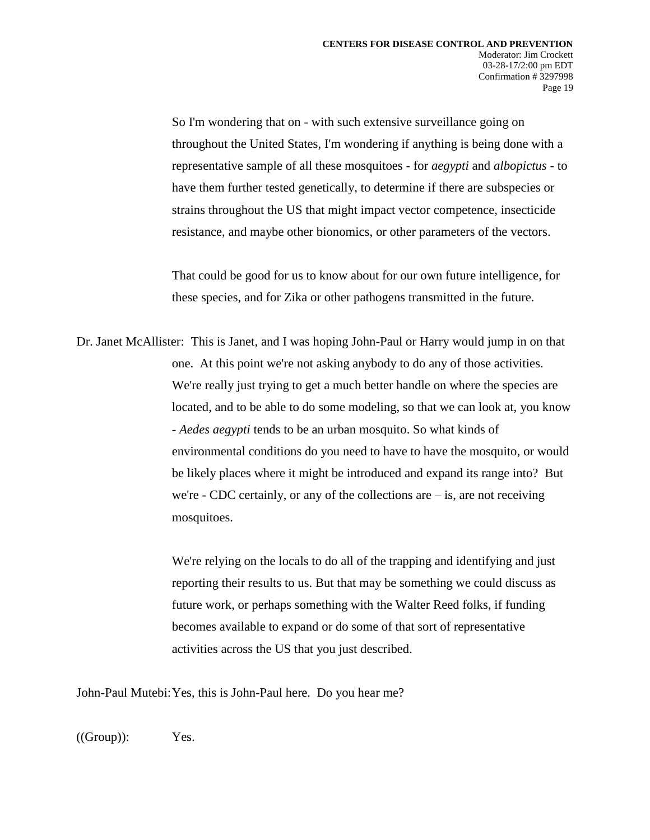So I'm wondering that on - with such extensive surveillance going on throughout the United States, I'm wondering if anything is being done with a representative sample of all these mosquitoes - for *aegypti* and *albopictus* - to have them further tested genetically, to determine if there are subspecies or strains throughout the US that might impact vector competence, insecticide resistance, and maybe other bionomics, or other parameters of the vectors.

That could be good for us to know about for our own future intelligence, for these species, and for Zika or other pathogens transmitted in the future.

Dr. Janet McAllister: This is Janet, and I was hoping John-Paul or Harry would jump in on that one. At this point we're not asking anybody to do any of those activities. We're really just trying to get a much better handle on where the species are located, and to be able to do some modeling, so that we can look at, you know - *Aedes aegypti* tends to be an urban mosquito. So what kinds of environmental conditions do you need to have to have the mosquito, or would be likely places where it might be introduced and expand its range into? But we're - CDC certainly, or any of the collections are  $-$  is, are not receiving mosquitoes.

> We're relying on the locals to do all of the trapping and identifying and just reporting their results to us. But that may be something we could discuss as future work, or perhaps something with the Walter Reed folks, if funding becomes available to expand or do some of that sort of representative activities across the US that you just described.

John-Paul Mutebi:Yes, this is John-Paul here. Do you hear me?

 $((Group))$ : Yes.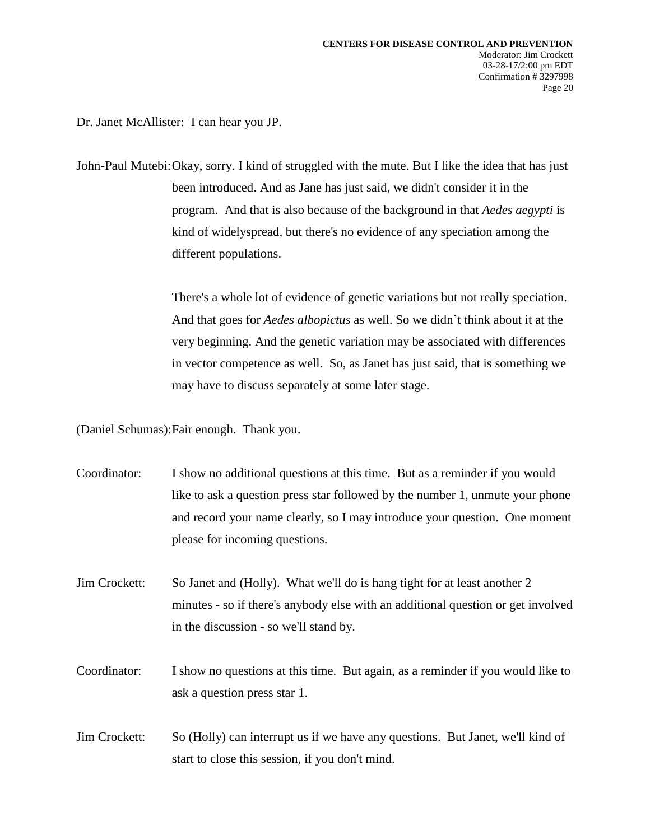Dr. Janet McAllister: I can hear you JP.

John-Paul Mutebi:Okay, sorry. I kind of struggled with the mute. But I like the idea that has just been introduced. And as Jane has just said, we didn't consider it in the program. And that is also because of the background in that *Aedes aegypti* is kind of widelyspread, but there's no evidence of any speciation among the different populations.

> There's a whole lot of evidence of genetic variations but not really speciation. And that goes for *Aedes albopictus* as well. So we didn't think about it at the very beginning. And the genetic variation may be associated with differences in vector competence as well. So, as Janet has just said, that is something we may have to discuss separately at some later stage.

(Daniel Schumas):Fair enough. Thank you.

Coordinator: I show no additional questions at this time. But as a reminder if you would like to ask a question press star followed by the number 1, unmute your phone and record your name clearly, so I may introduce your question. One moment please for incoming questions.

Jim Crockett: So Janet and (Holly). What we'll do is hang tight for at least another 2 minutes - so if there's anybody else with an additional question or get involved in the discussion - so we'll stand by.

Coordinator: I show no questions at this time. But again, as a reminder if you would like to ask a question press star 1.

Jim Crockett: So (Holly) can interrupt us if we have any questions. But Janet, we'll kind of start to close this session, if you don't mind.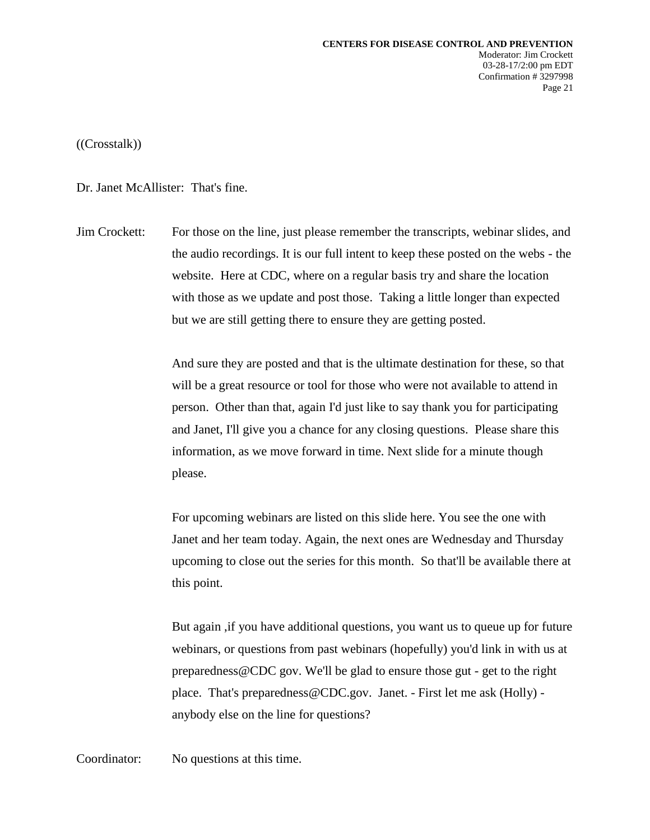((Crosstalk))

Dr. Janet McAllister: That's fine.

Jim Crockett: For those on the line, just please remember the transcripts, webinar slides, and the audio recordings. It is our full intent to keep these posted on the webs - the website. Here at CDC, where on a regular basis try and share the location with those as we update and post those. Taking a little longer than expected but we are still getting there to ensure they are getting posted.

> And sure they are posted and that is the ultimate destination for these, so that will be a great resource or tool for those who were not available to attend in person. Other than that, again I'd just like to say thank you for participating and Janet, I'll give you a chance for any closing questions. Please share this information, as we move forward in time. Next slide for a minute though please.

For upcoming webinars are listed on this slide here. You see the one with Janet and her team today. Again, the next ones are Wednesday and Thursday upcoming to close out the series for this month. So that'll be available there at this point.

But again ,if you have additional questions, you want us to queue up for future webinars, or questions from past webinars (hopefully) you'd link in with us at preparedness@CDC gov. We'll be glad to ensure those gut - get to the right place. That's preparedness@CDC.gov. Janet. - First let me ask (Holly) anybody else on the line for questions?

Coordinator: No questions at this time.